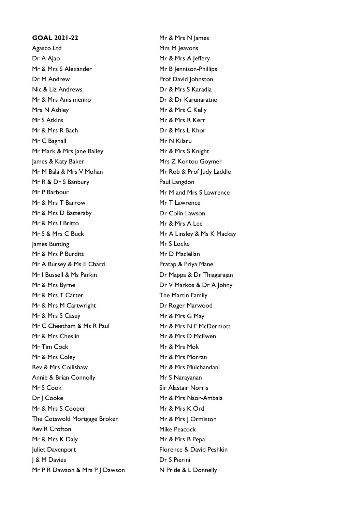## **GOAL 2021-22** Mr & Mrs N James Agasco Ltd Mrs M Jeavons Dr A Ajao Mr & Mrs A Jeffery Mr & Mrs S Alexander Mr B Jennison-Phillips **Dr M Andrew**  Prof David Iohnston Nic & Liz Andrews Dr & Mrs S Karadia Mr & Mrs Anisimenko Dr & Dr Karunaratne Mrs N Ashley Mr & Mrs C Kelly Mr S Atkins Mr & Mrs R Kerr Mr & Mrs R Bach Dr & Mrs L Khor Mr C Bagnall Mr N Kilaru Mr Mark & Mrs Jane Bailey Mr & Mrs S Knight James & Katy Baker Mrs Z Kontou Goymer Mr M Bala & Mrs V Mohan Mr Rob & Prof Judy Laddle Mr R & Dr S Banbury Paul Langdon Mr P Barbour Mr M and Mrs S Lawrence Mr & Mrs T Barrow Mr T Lawrence Mr & Mrs D Battersby Dr Colin Lawson Mr & Mrs I Britto Mr & Mrs A Lee Mr S & Mrs C Buck Mr A Linsley & Ms K Mackay lames Bunting and a series of the Mr S Locke Mr & Mrs P Burditt Mr D Maclellan Mr A Bursey & Ms E Chard Pratap & Priya Mane Mr I Bussell & Ms Parkin Dr Mappa & Dr Thiagarajan Mr & Mrs Byrne Dr V Markos & Dr A Johny Mr & Mrs T Carter The Martin Family Mr & Mrs M Cartwright **Dr Roger Marwood** Mr & Mrs S Casey Mr & Mrs G May Mr C Cheetham & Ms R Paul Mr & Mrs N F McDermott Mr & Mrs Cheslin Mr & Mrs D McEwen Mr Tim Cock Mr Structure Mr & Mrs Mok Mr & Mrs Coley Mr & Mrs Morran Rev & Mrs Collishaw Mr & Mrs Mulchandani Annie & Brian Connolly Mr S Narayanan Mr S Cook Sir Alastair Norris Dr J Cooke Mr & Mrs Nsor-Ambala Mr & Mrs S Cooper Mr & Mrs K Ord The Cotswold Mortgage Broker Mr & Mrs | Ormiston Rev R Crofton Mike Peacock Mr & Mrs K Daly Mr & Mrs B Pepa Juliet Davenport Florence & David Peshkin **J & M Davies** Dr S Pierini Mr P R Dawson & Mrs P | Dawson N Pride & L Donnelly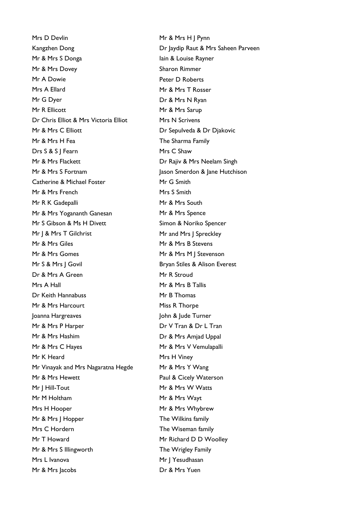Mrs D Devlin Mr & Mrs H | Pynn Kangzhen Dong **Dr Jaydip Raut & Mrs Saheen Parveen** Mr & Mrs S Donga **Iain & Louise Rayner** Mr & Mrs Dovey Sharon Rimmer Mr A Dowie **Peter D Roberts** Mrs A Ellard Mrs A Ellard Mrs A Ellard Mr G Dyer Dr & Mrs N Ryan Mr R Ellicott Mr & Mrs Sarup Dr Chris Elliot & Mrs Victoria Elliot Mrs N Scrivens Mr & Mrs C Elliott **Dr Sepulveda & Dr Djakovic** Mr & Mrs H Fea The Sharma Family Drs S & S | Fearn Mrs C Shaw Mr & Mrs Flackett **Dr Rajiv & Mrs Neelam Singh** Mr & Mrs S Fortnam Jason Smerdon & Jane Hutchison Catherine & Michael Foster Mr G Smith Mr & Mrs French Mrs S Smith Mr R K Gadepalli Mr & Mrs South Mr & Mrs Yogananth Ganesan Mr & Mrs Spence Mr S Gibson & Ms H Divett Simon & Noriko Spencer Mr J & Mrs T Gilchrist Mr and Mrs J Spreckley Mr & Mrs Giles Mr & Mrs B Stevens Mr & Mrs Gomes Mr & Mrs M J Stevenson Mr S & Mrs | Govil Bryan Stiles & Alison Everest Dr & Mrs A Green Mr R Stroud Mrs A Hall Mr & Mrs B Tallis Dr Keith Hannabuss Mr B Thomas Mr & Mrs Harcourt Miss R Thorpe Joanna Hargreaves **John & Jude Turner** Mr & Mrs P Harper Dr V Tran & Dr L Tran Mr & Mrs Hashim Dr & Mrs Amiad Uppal Mr & Mrs C Hayes Mr & Mrs V Vemulapalli Mr K Heard Mrs H Viney Mr Vinayak and Mrs Nagaratna Hegde Mr & Mrs Y Wang Mr & Mrs Hewett **Paul & Cicely Waterson** Mr I Hill-Tout **Mr & Mr & Mrs W Watts** Mr M Holtham Mr & Mrs Wayt Mrs H Hooper Mr & Mrs Whybrew Mr & Mrs | Hopper The Wilkins family Mrs C Hordern The Wiseman family Mr T Howard Mr Richard D D Woolley Mr & Mrs S Illingworth The Wrigley Family Mrs L Ivanova Mrs J Yesudhasan Mr & Mrs Jacobs Dr & Mrs Yuen